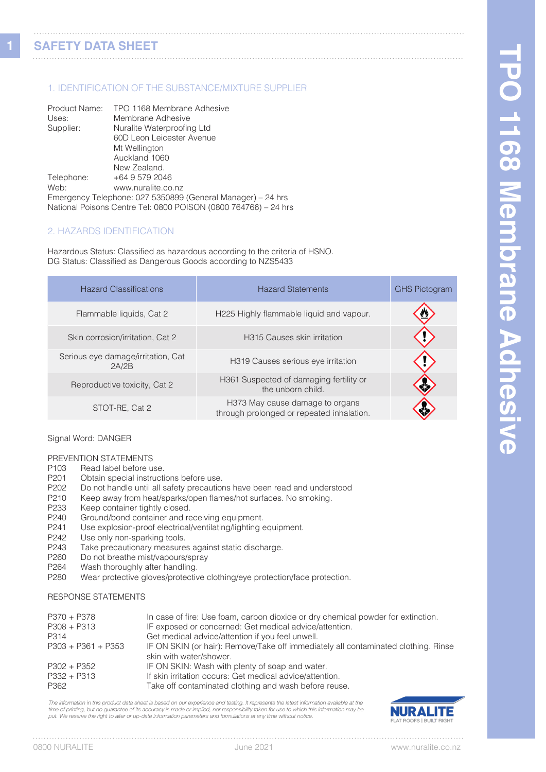**1**

## 1. IDENTIFICATION OF THE SUBSTANCE/MIXTURE SUPPLIER

| Product Name: | TPO 1168 Membrane Adhesive                                      |
|---------------|-----------------------------------------------------------------|
| Uses:         | Membrane Adhesive                                               |
| Supplier:     | Nuralite Waterproofing Ltd                                      |
|               | 60D Leon Leicester Avenue                                       |
|               | Mt Wellington                                                   |
|               | Auckland 1060                                                   |
|               | New Zealand.                                                    |
| Telephone:    | +64 9 579 2046                                                  |
| Web:          | www.nuralite.co.nz                                              |
|               | Emergency Telephone: 027 5350899 (General Manager) - 24 hrs     |
|               | National Poisons Centre Tel: 0800 POISON (0800 764766) - 24 hrs |

#### 2. HAZARDS IDENTIFICATION

Hazardous Status: Classified as hazardous according to the criteria of HSNO. DG Status: Classified as Dangerous Goods according to NZS5433

| <b>Hazard Classifications</b>               | <b>Hazard Statements</b>                                                     | <b>GHS Pictogram</b> |
|---------------------------------------------|------------------------------------------------------------------------------|----------------------|
| Flammable liquids, Cat 2                    | H225 Highly flammable liquid and vapour.                                     |                      |
| Skin corrosion/irritation, Cat 2            | <b>H315 Causes skin irritation</b>                                           |                      |
| Serious eye damage/irritation, Cat<br>2A/2B | H319 Causes serious eye irritation                                           |                      |
| Reproductive toxicity, Cat 2                | H361 Suspected of damaging fertility or<br>the unborn child.                 |                      |
| STOT-RE, Cat 2                              | H373 May cause damage to organs<br>through prolonged or repeated inhalation. |                      |

#### Signal Word: DANGER

## PREVENTION STATEMENTS<br>P103 Read label before u

- P103 Read label before use.<br>P201 Obtain special instruction
- P201 Obtain special instructions before use.<br>P202 Do not handle until all safety precaution
- P202 Do not handle until all safety precautions have been read and understood<br>P210 Keep away from heat/sparks/open flames/hot surfaces. No smoking.
- P210 Keep away from heat/sparks/open flames/hot surfaces. No smoking.<br>P233 Keep container tightly closed.
- P233 Keep container tightly closed.<br>P240 Ground/bond container and re
- P240 Ground/bond container and receiving equipment.<br>P241 Use explosion-proof electrical/ventilating/lighting
- Use explosion-proof electrical/ventilating/lighting equipment.
- P242 Use only non-sparking tools.
- P243 Take precautionary measures against static discharge.<br>P260 Do not breathe mist/vapours/spray
- P260 Do not breathe mist/vapours/spray<br>P264 Wash thoroughly after handling.
- P264 Wash thoroughly after handling.<br>P280 Wear protective gloves/protective
- Wear protective gloves/protective clothing/eye protection/face protection.

#### RESPONSE STATEMENTS

| P370 + P378          | In case of fire: Use foam, carbon dioxide or dry chemical powder for extinction.   |
|----------------------|------------------------------------------------------------------------------------|
| $P308 + P313$        | IF exposed or concerned: Get medical advice/attention.                             |
| P314                 | Get medical advice/attention if you feel unwell.                                   |
| $P303 + P361 + P353$ | IF ON SKIN (or hair): Remove/Take off immediately all contaminated clothing. Rinse |
|                      | skin with water/shower.                                                            |
| P302 + P352          | IF ON SKIN: Wash with plenty of soap and water.                                    |
| $P332 + P313$        | If skin irritation occurs: Get medical advice/attention.                           |
| P362                 | Take off contaminated clothing and wash before reuse.                              |

*The information in this product data sheet is based on our experience and testing. It represents the latest information available at the time of printing, but no guarantee of its accuracy is made or implied, nor responsibility taken for use to which this information may be put. We reserve the right to alter or up-date information parameters and formulations at any time without notice.*

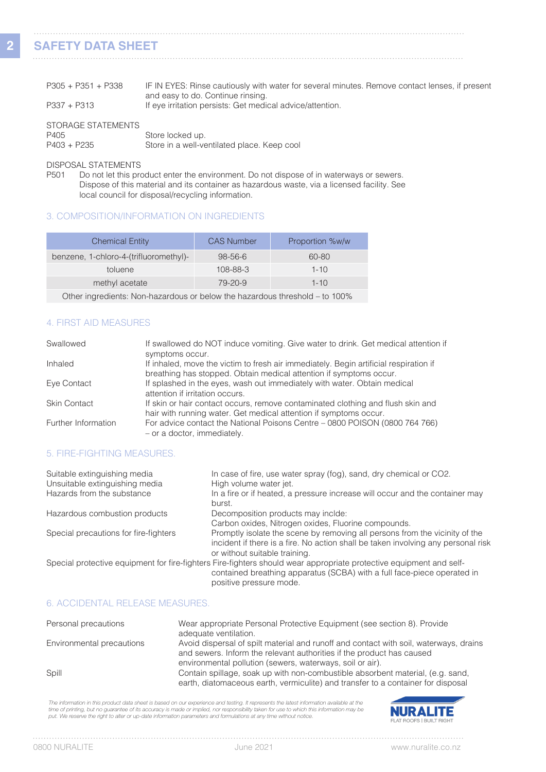# **SAFETY DATA SHEET**

**2**

| $P305 + P351 + P338$ | IF IN EYES: Rinse cautiously with water for several minutes. Remove contact lenses, if present |
|----------------------|------------------------------------------------------------------------------------------------|
|                      | and easy to do. Continue rinsing.                                                              |
| P337 + P313          | If eye irritation persists: Get medical advice/attention.                                      |
|                      |                                                                                                |

#### STORAGE STATEMENTS<br>P405 P405 Store locked up.<br>
P403 + P235 Store in a well-ve Store in a well-ventilated place. Keep cool

## DISPOSAL STATEMENTS<br>P501 Do not let this pro

Do not let this product enter the environment. Do not dispose of in waterways or sewers. Dispose of this material and its container as hazardous waste, via a licensed facility. See local council for disposal/recycling information.

## 3. COMPOSITION/INFORMATION ON INGREDIENTS

| <b>Chemical Entity</b>                 | <b>CAS Number</b> | Proportion %w/w |
|----------------------------------------|-------------------|-----------------|
| benzene, 1-chloro-4-(trifluoromethyl)- | $98 - 56 - 6$     | 60-80           |
| toluene                                | 108-88-3          | $1 - 10$        |
| methyl acetate                         | $79 - 20 - 9$     | $1 - 10$        |
|                                        |                   |                 |

Other ingredients: Non-hazardous or below the hazardous threshold – to 100%

## 4. FIRST AID MEASURES

| Swallowed           | If swallowed do NOT induce vomiting. Give water to drink. Get medical attention if<br>symptoms occur.                                                       |
|---------------------|-------------------------------------------------------------------------------------------------------------------------------------------------------------|
| Inhaled             | If inhaled, move the victim to fresh air immediately. Begin artificial respiration if<br>breathing has stopped. Obtain medical attention if symptoms occur. |
| Eye Contact         | If splashed in the eyes, wash out immediately with water. Obtain medical<br>attention if irritation occurs.                                                 |
| <b>Skin Contact</b> | If skin or hair contact occurs, remove contaminated clothing and flush skin and<br>hair with running water. Get medical attention if symptoms occur.        |
| Further Information | For advice contact the National Poisons Centre – 0800 POISON (0800 764 766)<br>- or a doctor, immediately.                                                  |

### 5. FIRE-FIGHTING MEASURES.

| Suitable extinguishing media<br>Unsuitable extinguishing media | In case of fire, use water spray (fog), sand, dry chemical or CO2.<br>High volume water jet.                                                                                                                              |
|----------------------------------------------------------------|---------------------------------------------------------------------------------------------------------------------------------------------------------------------------------------------------------------------------|
| Hazards from the substance                                     | In a fire or if heated, a pressure increase will occur and the container may                                                                                                                                              |
|                                                                | burst.                                                                                                                                                                                                                    |
| Hazardous combustion products                                  | Decomposition products may inclde:                                                                                                                                                                                        |
|                                                                | Carbon oxides, Nitrogen oxides, Fluorine compounds.                                                                                                                                                                       |
| Special precautions for fire-fighters                          | Promptly isolate the scene by removing all persons from the vicinity of the<br>incident if there is a fire. No action shall be taken involving any personal risk<br>or without suitable training.                         |
|                                                                | Special protective equipment for fire-fighters Fire-fighters should wear appropriate protective equipment and self-<br>contained breathing apparatus (SCBA) with a full face-piece operated in<br>positive pressure mode. |

#### 6. ACCIDENTAL RELEASE MEASURES.

| Personal precautions      | Wear appropriate Personal Protective Equipment (see section 8). Provide<br>adequate ventilation.                                                                                                                                |
|---------------------------|---------------------------------------------------------------------------------------------------------------------------------------------------------------------------------------------------------------------------------|
| Environmental precautions | Avoid dispersal of spilt material and runoff and contact with soil, waterways, drains<br>and sewers. Inform the relevant authorities if the product has caused                                                                  |
| Spill                     | environmental pollution (sewers, waterways, soil or air).<br>Contain spillage, soak up with non-combustible absorbent material, (e.g. sand,<br>earth, diatomaceous earth, vermiculite) and transfer to a container for disposal |

The information in this product data sheet is based on our experience and testing. It represents the latest information available at the time of printing, but no guarantee of its accuracy is made or implied, nor responsibility taken for use to which this information may be<br>put. We reserve the right to alter or up-date information parameters and formulations



 $1.1.1.1$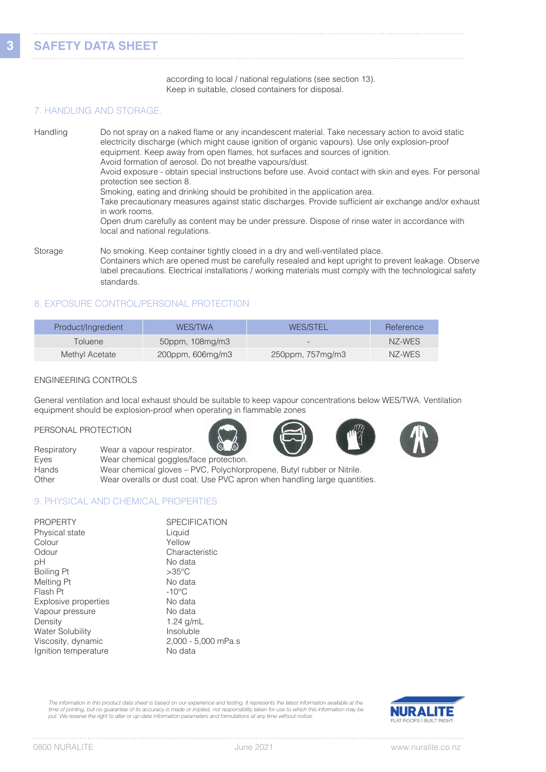according to local / national regulations (see section 13). Keep in suitable, closed containers for disposal.

#### 7. HANDLING AND STORAGE.

Handling Do not spray on a naked flame or any incandescent material. Take necessary action to avoid static electricity discharge (which might cause ignition of organic vapours). Use only explosion-proof equipment. Keep away from open flames, hot surfaces and sources of ignition. Avoid formation of aerosol. Do not breathe vapours/dust. Avoid exposure - obtain special instructions before use. Avoid contact with skin and eyes. For personal protection see section 8. Smoking, eating and drinking should be prohibited in the application area. Take precautionary measures against static discharges. Provide sufficient air exchange and/or exhaust in work rooms. Open drum carefully as content may be under pressure. Dispose of rinse water in accordance with local and national regulations. Storage Mo smoking. Keep container tightly closed in a dry and well-ventilated place. Containers which are opened must be carefully resealed and kept upright to prevent leakage. Observe

 label precautions. Electrical installations / working materials must comply with the technological safety standards.

### 8. EXPOSURE CONTROL/PERSONAL PROTECTION

| Product/Ingredient | WES/TWA          | <b>WES/STEL</b>  | Reference |
|--------------------|------------------|------------------|-----------|
| Toluene            | 50ppm, 108mg/m3  |                  | NZ-WES    |
| Methyl Acetate     | 200ppm, 606mg/m3 | 250ppm, 757mg/m3 | NZ-WES    |

#### ENGINEERING CONTROLS

General ventilation and local exhaust should be suitable to keep vapour concentrations below WES/TWA. Ventilation equipment should be explosion-proof when operating in flammable zones

#### PERSONAL PROTECTION







Respiratory Wear a vapour respirator. Eyes Wear chemical goggles/face protection. Hands Wear chemical gloves – PVC, Polychlorpropene, Butyl rubber or Nitrile.<br>
Other Wear overalls or dust coat. Use PVC apron when handling large quanti-Wear overalls or dust coat. Use PVC apron when handling large quantities.

#### 9. PHYSICAL AND CHEMICAL PROPERTIES

| <b>PROPERTY</b>         | <b>SPECIFICATION</b> |
|-------------------------|----------------------|
| Physical state          | Liquid               |
| Colour                  | Yellow               |
| Odour                   | Characteristic       |
| рH                      | No data              |
| <b>Boiling Pt</b>       | $>35^{\circ}$ C      |
| Melting Pt              | No data              |
| Flash Pt                | $-10^{\circ}$ C      |
| Explosive properties    | No data              |
| Vapour pressure         | No data              |
| Density                 | 1.24 $q/mL$          |
| <b>Water Solubility</b> | Insoluble            |
| Viscosity, dynamic      | 2,000 - 5,000 mPa.s  |
| Ignition temperature    | No data              |

*The information in this product data sheet is based on our experience and testing. It represents the latest information available at the time of printing, but no guarantee of its accuracy is made or implied, nor responsibility taken for use to which this information may be put. We reserve the right to alter or up-date information parameters and formulations at any time without notice.*

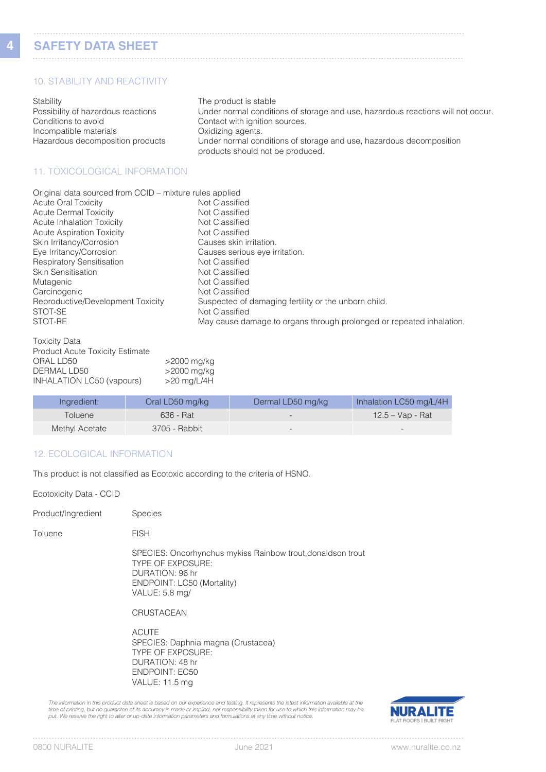**4**

## **SAFETY DATA SHEET**

#### 10. STABILITY AND REACTIVITY

| Stability                          | The product is stable                                                           |
|------------------------------------|---------------------------------------------------------------------------------|
| Possibility of hazardous reactions | Under normal conditions of storage and use, hazardous reactions will not occur. |
| Conditions to avoid                | Contact with ignition sources.                                                  |
| Incompatible materials             | Oxidizing agents.                                                               |
| Hazardous decomposition products   | Under normal conditions of storage and use, hazardous decomposition             |
|                                    | products should not be produced.                                                |

### 11. TOXICOLOGICAL INFORMATION

| Original data sourced from CCID - mixture rules applied |                                                                      |
|---------------------------------------------------------|----------------------------------------------------------------------|
| <b>Acute Oral Toxicity</b>                              | Not Classified                                                       |
| <b>Acute Dermal Toxicity</b>                            | Not Classified                                                       |
| Acute Inhalation Toxicity                               | Not Classified                                                       |
| <b>Acute Aspiration Toxicity</b>                        | Not Classified                                                       |
| Skin Irritancy/Corrosion                                | Causes skin irritation.                                              |
| Eye Irritancy/Corrosion                                 | Causes serious eye irritation.                                       |
| <b>Respiratory Sensitisation</b>                        | Not Classified                                                       |
| <b>Skin Sensitisation</b>                               | Not Classified                                                       |
| Mutagenic                                               | Not Classified                                                       |
| Carcinogenic                                            | Not Classified                                                       |
| Reproductive/Development Toxicity                       | Suspected of damaging fertility or the unborn child.                 |
| STOT-SE                                                 | Not Classified                                                       |
| STOT-RE                                                 | May cause damage to organs through prolonged or repeated inhalation. |
| $T = 1$                                                 |                                                                      |

| TOXICILY D'ALA                         |               |
|----------------------------------------|---------------|
| <b>Product Acute Toxicity Estimate</b> |               |
| ORAL LD50                              | >2000 mg/kg   |
| DERMAL LD50                            | >2000 mg/kg   |
| INHALATION LC50 (vapours)              | $>20$ mg/L/4H |

| Ingredient:    | Oral LD50 mg/kg | Dermal LD50 mg/kg        | Inhalation LC50 mg/L/4H |
|----------------|-----------------|--------------------------|-------------------------|
| Toluene        | 636 - Rat       | $-$                      | 12.5 – Vap - Rat        |
| Methyl Acetate | 3705 - Rabbit   | $\overline{\phantom{0}}$ |                         |

#### 12. ECOLOGICAL INFORMATION

This product is not classified as Ecotoxic according to the criteria of HSNO.

Ecotoxicity Data - CCID

Product/Ingredient Species

Toluene FISH

 SPECIES: Oncorhynchus mykiss Rainbow trout,donaldson trout TYPE OF EXPOSURE: DURATION: 96 hr ENDPOINT: LC50 (Mortality) VALUE: 5.8 mg/

CRUSTACEAN

 ACUTE SPECIES: Daphnia magna (Crustacea) TYPE OF EXPOSURE: DURATION: 48 hr ENDPOINT: EC50 VALUE: 11.5 mg 

The information in this product data sheet is based on our experience and testing. It represents the latest information available at the time of printing, but no guarantee of its accuracy is made or implied, nor responsibility taken for use to which this information may be<br>put. We reserve the right to alter or up-date information parameters and formulations



 $1.1.1.1$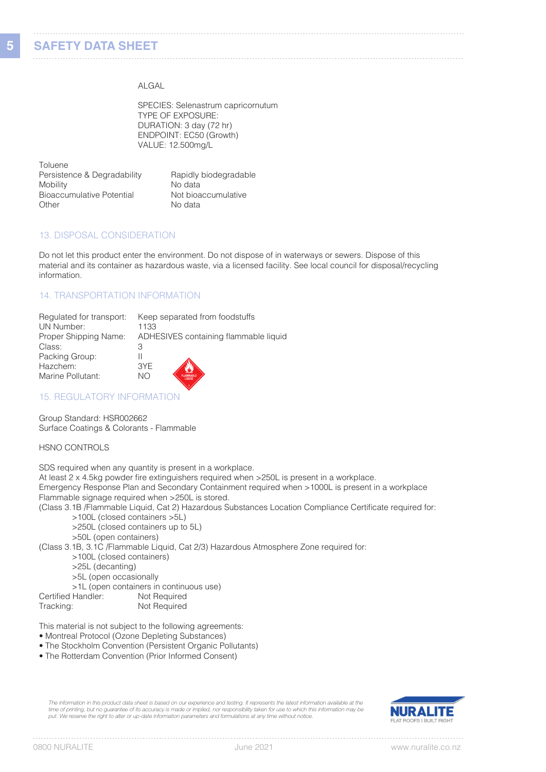#### ALGAL

 SPECIES: Selenastrum capricornutum TYPE OF EXPOSURE: DURATION: 3 day (72 hr) ENDPOINT: EC50 (Growth) VALUE: 12.500mg/L

Toluene Persistence & Degradability Rapidly biodegradable Mobility<br>
Bioaccumulative Potential

Mot bioaccumulative Bioaccumulative Potential Other No data

#### 13. DISPOSAL CONSIDERATION

Do not let this product enter the environment. Do not dispose of in waterways or sewers. Dispose of this material and its container as hazardous waste, via a licensed facility. See local council for disposal/recycling information.

#### 14. TRANSPORTATION INFORMATION

| Regulated for transport: |      | Keep separated from foodstuffs        |
|--------------------------|------|---------------------------------------|
| UN Number:               | 1133 |                                       |
| Proper Shipping Name:    |      | ADHESIVES containing flammable liquid |
| Class:                   | З    |                                       |
| Packing Group:           |      |                                       |
| Hazchem:                 | 3YE  |                                       |
| Marine Pollutant:        | ΝO   |                                       |

#### 15. REGULATORY INFORMATION

Group Standard: HSR002662 Surface Coatings & Colorants - Flammable

#### HSNO CONTROLS

SDS required when any quantity is present in a workplace. At least 2 x 4.5kg powder fire extinguishers required when >250L is present in a workplace. Emergency Response Plan and Secondary Containment required when >1000L is present in a workplace Flammable signage required when >250L is stored. (Class 3.1B /Flammable Liquid, Cat 2) Hazardous Substances Location Compliance Certificate required for:

- >100L (closed containers >5L)
	- >250L (closed containers up to 5L)
	- >50L (open containers)

(Class 3.1B, 3.1C /Flammable Liquid, Cat 2/3) Hazardous Atmosphere Zone required for:

- >100L (closed containers)
	- >25L (decanting)
	- >5L (open occasionally

>1L (open containers in continuous use)<br>Certified Handler: Not Required

| Certified Handler: | Not Required |
|--------------------|--------------|
| Tracking:          | Not Required |

This material is not subject to the following agreements:

• Montreal Protocol (Ozone Depleting Substances)

- The Stockholm Convention (Persistent Organic Pollutants)
- The Rotterdam Convention (Prior Informed Consent)

*The information in this product data sheet is based on our experience and testing. It represents the latest information available at the time of printing, but no guarantee of its accuracy is made or implied, nor responsibility taken for use to which this information may be put. We reserve the right to alter or up-date information parameters and formulations at any time without notice.*